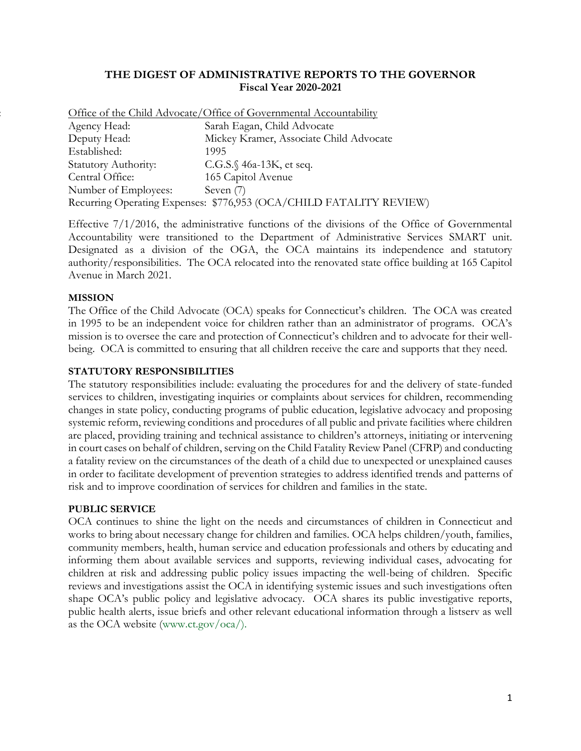## **THE DIGEST OF ADMINISTRATIVE REPORTS TO THE GOVERNOR Fiscal Year 2020-2021**

|                             | Office of the Child Advocate/Office of Governmental Accountability  |
|-----------------------------|---------------------------------------------------------------------|
| Agency Head:                | Sarah Eagan, Child Advocate                                         |
| Deputy Head:                | Mickey Kramer, Associate Child Advocate                             |
| Established:                | 1995                                                                |
| <b>Statutory Authority:</b> | C.G.S. $\sqrt{46a-13K}$ , et seq.                                   |
| Central Office:             | 165 Capitol Avenue                                                  |
| Number of Employees:        | Seven $(7)$                                                         |
|                             | Recurring Operating Expenses: \$776,953 (OCA/CHILD FATALITY REVIEW) |

Effective 7/1/2016, the administrative functions of the divisions of the Office of Governmental Accountability were transitioned to the Department of Administrative Services SMART unit. Designated as a division of the OGA, the OCA maintains its independence and statutory authority/responsibilities. The OCA relocated into the renovated state office building at 165 Capitol Avenue in March 2021.

## **MISSION**

The Office of the Child Advocate (OCA) speaks for Connecticut's children. The OCA was created in 1995 to be an independent voice for children rather than an administrator of programs. OCA's mission is to oversee the care and protection of Connecticut's children and to advocate for their wellbeing. OCA is committed to ensuring that all children receive the care and supports that they need.

#### **STATUTORY RESPONSIBILITIES**

The statutory responsibilities include: evaluating the procedures for and the delivery of state-funded services to children, investigating inquiries or complaints about services for children, recommending changes in state policy, conducting programs of public education, legislative advocacy and proposing systemic reform, reviewing conditions and procedures of all public and private facilities where children are placed, providing training and technical assistance to children's attorneys, initiating or intervening in court cases on behalf of children, serving on the Child Fatality Review Panel (CFRP) and conducting a fatality review on the circumstances of the death of a child due to unexpected or unexplained causes in order to facilitate development of prevention strategies to address identified trends and patterns of risk and to improve coordination of services for children and families in the state.

#### **PUBLIC SERVICE**

OCA continues to shine the light on the needs and circumstances of children in Connecticut and works to bring about necessary change for children and families. OCA helps children/youth, families, community members, health, human service and education professionals and others by educating and informing them about available services and supports, reviewing individual cases, advocating for children at risk and addressing public policy issues impacting the well-being of children. Specific reviews and investigations assist the OCA in identifying systemic issues and such investigations often shape OCA's public policy and legislative advocacy. OCA shares its public investigative reports, public health alerts, issue briefs and other relevant educational information through a listserv as well as the OCA website (www.ct.gov/oca/).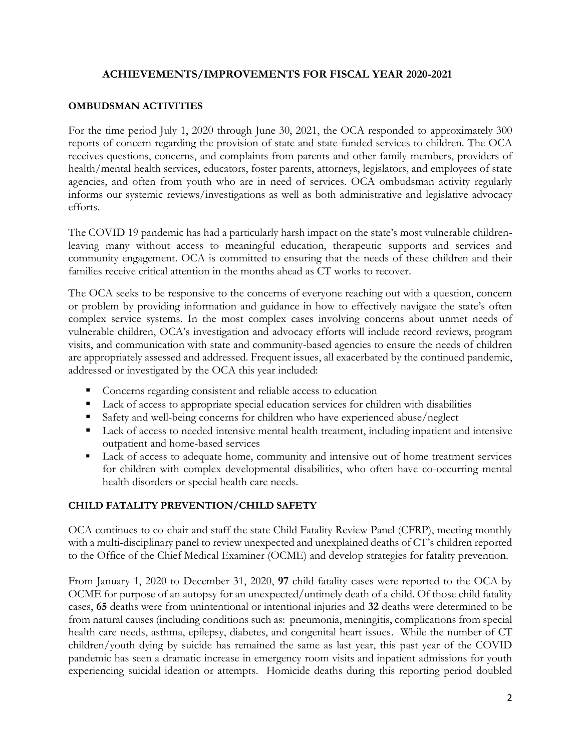# **ACHIEVEMENTS/IMPROVEMENTS FOR FISCAL YEAR 2020-2021**

### **OMBUDSMAN ACTIVITIES**

For the time period July 1, 2020 through June 30, 2021, the OCA responded to approximately 300 reports of concern regarding the provision of state and state-funded services to children. The OCA receives questions, concerns, and complaints from parents and other family members, providers of health/mental health services, educators, foster parents, attorneys, legislators, and employees of state agencies, and often from youth who are in need of services. OCA ombudsman activity regularly informs our systemic reviews/investigations as well as both administrative and legislative advocacy efforts.

The COVID 19 pandemic has had a particularly harsh impact on the state's most vulnerable childrenleaving many without access to meaningful education, therapeutic supports and services and community engagement. OCA is committed to ensuring that the needs of these children and their families receive critical attention in the months ahead as CT works to recover.

The OCA seeks to be responsive to the concerns of everyone reaching out with a question, concern or problem by providing information and guidance in how to effectively navigate the state's often complex service systems. In the most complex cases involving concerns about unmet needs of vulnerable children, OCA's investigation and advocacy efforts will include record reviews, program visits, and communication with state and community-based agencies to ensure the needs of children are appropriately assessed and addressed. Frequent issues, all exacerbated by the continued pandemic, addressed or investigated by the OCA this year included:

- Concerns regarding consistent and reliable access to education
- Lack of access to appropriate special education services for children with disabilities
- Safety and well-being concerns for children who have experienced abuse/neglect
- Lack of access to needed intensive mental health treatment, including inpatient and intensive outpatient and home-based services
- Lack of access to adequate home, community and intensive out of home treatment services for children with complex developmental disabilities, who often have co-occurring mental health disorders or special health care needs.

## **CHILD FATALITY PREVENTION/CHILD SAFETY**

OCA continues to co-chair and staff the state Child Fatality Review Panel (CFRP), meeting monthly with a multi-disciplinary panel to review unexpected and unexplained deaths of CT's children reported to the Office of the Chief Medical Examiner (OCME) and develop strategies for fatality prevention.

From January 1, 2020 to December 31, 2020, **97** child fatality cases were reported to the OCA by OCME for purpose of an autopsy for an unexpected/untimely death of a child. Of those child fatality cases, **65** deaths were from unintentional or intentional injuries and **32** deaths were determined to be from natural causes (including conditions such as: pneumonia, meningitis, complications from special health care needs, asthma, epilepsy, diabetes, and congenital heart issues. While the number of CT children/youth dying by suicide has remained the same as last year, this past year of the COVID pandemic has seen a dramatic increase in emergency room visits and inpatient admissions for youth experiencing suicidal ideation or attempts. Homicide deaths during this reporting period doubled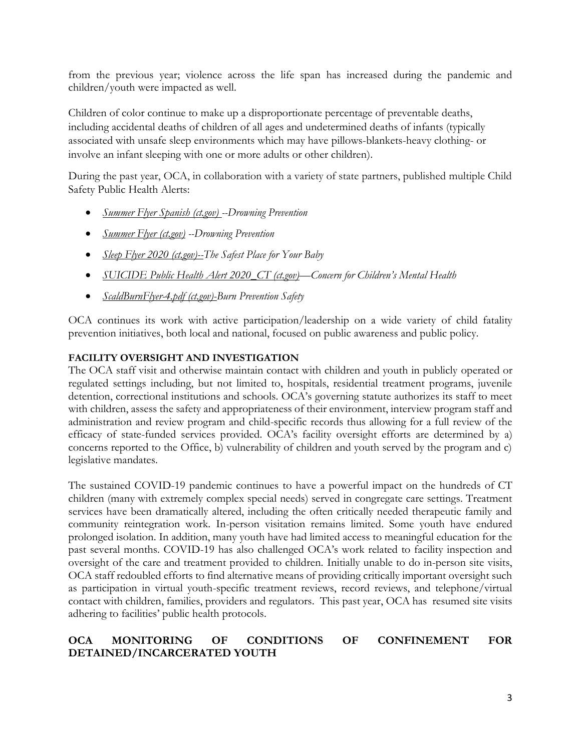from the previous year; violence across the life span has increased during the pandemic and children/youth were impacted as well.

Children of color continue to make up a disproportionate percentage of preventable deaths, including accidental deaths of children of all ages and undetermined deaths of infants (typically associated with unsafe sleep environments which may have pillows-blankets-heavy clothing- or involve an infant sleeping with one or more adults or other children).

During the past year, OCA, in collaboration with a variety of state partners, published multiple Child Safety Public Health Alerts:

- *[Summer Flyer Spanish \(ct.gov\)](https://portal.ct.gov/-/media/OCA/OCA-Recent-Publications/Drowing-Prevention-Fyler-Spanish.pdf) --Drowning Prevention*
- *[Summer Flyer \(ct.gov\)](https://portal.ct.gov/-/media/OCA/OCA-Recent-Publications/Drowing-Prevention-Flyer-English.pdf) --Drowning Prevention*
- *[Sleep Flyer 2020 \(ct.gov\)-](https://portal.ct.gov/-/media/OCA/OCA-Recent-Publications/SleepFlyer-2021.pdf)-The Safest Place for Your Baby*
- *[SUICIDE Public Health Alert 2020\\_CT \(ct.gov\)](https://portal.ct.gov/-/media/OCA/OCA-Recent-Publications/Suicide-Prevention-Public-Health-Alert-and-Call-to-Action-October-30-2020.pdf)—Concern for Children's Mental Health*
- *[ScaldBurnFlyer-4.pdf \(ct.gov\)-](https://portal.ct.gov/-/media/OCA/OCA-Recent-Publications/ScaldBurnFlyer-Final.pdf)Burn Prevention Safety*

OCA continues its work with active participation/leadership on a wide variety of child fatality prevention initiatives, both local and national, focused on public awareness and public policy.

# **FACILITY OVERSIGHT AND INVESTIGATION**

The OCA staff visit and otherwise maintain contact with children and youth in publicly operated or regulated settings including, but not limited to, hospitals, residential treatment programs, juvenile detention, correctional institutions and schools. OCA's governing statute authorizes its staff to meet with children, assess the safety and appropriateness of their environment, interview program staff and administration and review program and child-specific records thus allowing for a full review of the efficacy of state-funded services provided. OCA's facility oversight efforts are determined by a) concerns reported to the Office, b) vulnerability of children and youth served by the program and c) legislative mandates.

The sustained COVID-19 pandemic continues to have a powerful impact on the hundreds of CT children (many with extremely complex special needs) served in congregate care settings. Treatment services have been dramatically altered, including the often critically needed therapeutic family and community reintegration work. In-person visitation remains limited. Some youth have endured prolonged isolation. In addition, many youth have had limited access to meaningful education for the past several months. COVID-19 has also challenged OCA's work related to facility inspection and oversight of the care and treatment provided to children. Initially unable to do in-person site visits, OCA staff redoubled efforts to find alternative means of providing critically important oversight such as participation in virtual youth-specific treatment reviews, record reviews, and telephone/virtual contact with children, families, providers and regulators. This past year, OCA has resumed site visits adhering to facilities' public health protocols.

# **OCA MONITORING OF CONDITIONS OF CONFINEMENT FOR DETAINED/INCARCERATED YOUTH**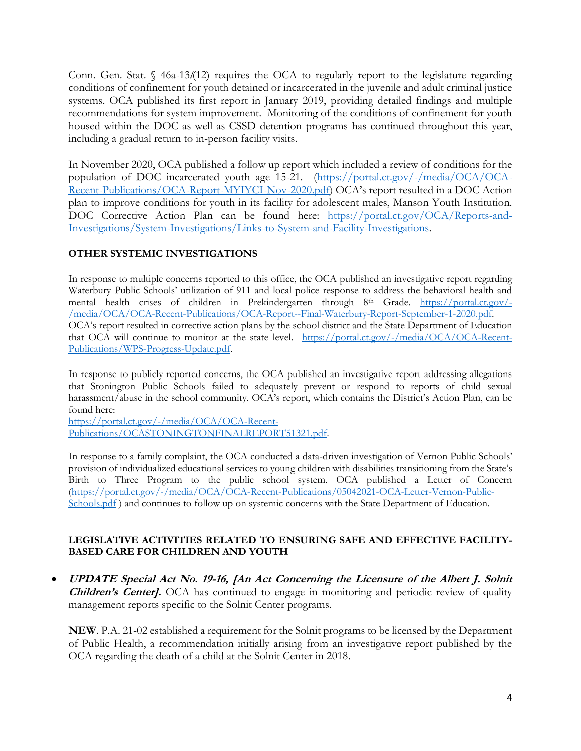Conn. Gen. Stat. § 46a-13*l*(12) requires the OCA to regularly report to the legislature regarding conditions of confinement for youth detained or incarcerated in the juvenile and adult criminal justice systems. OCA published its first report in January 2019, providing detailed findings and multiple recommendations for system improvement. Monitoring of the conditions of confinement for youth housed within the DOC as well as CSSD detention programs has continued throughout this year, including a gradual return to in-person facility visits.

In November 2020, OCA published a follow up report which included a review of conditions for the population of DOC incarcerated youth age 15-21. [\(https://portal.ct.gov/-/media/OCA/OCA-](https://portal.ct.gov/-/media/OCA/OCA-Recent-Publications/OCA-Report-MYIYCI-Nov-2020.pdf)[Recent-Publications/OCA-Report-MYIYCI-Nov-2020.pdf\)](https://portal.ct.gov/-/media/OCA/OCA-Recent-Publications/OCA-Report-MYIYCI-Nov-2020.pdf) OCA's report resulted in a DOC Action plan to improve conditions for youth in its facility for adolescent males, Manson Youth Institution. DOC Corrective Action Plan can be found here: [https://portal.ct.gov/OCA/Reports-and-](https://portal.ct.gov/OCA/Reports-and-Investigations/System-Investigations/Links-to-System-and-Facility-Investigations)[Investigations/System-Investigations/Links-to-System-and-Facility-Investigations.](https://portal.ct.gov/OCA/Reports-and-Investigations/System-Investigations/Links-to-System-and-Facility-Investigations)

# **OTHER SYSTEMIC INVESTIGATIONS**

In response to multiple concerns reported to this office, the OCA published an investigative report regarding Waterbury Public Schools' utilization of 911 and local police response to address the behavioral health and mental health crises of children in Prekindergarten through 8<sup>th</sup> Grade. [https://portal.ct.gov/-](https://portal.ct.gov/-/media/OCA/OCA-Recent-Publications/OCA-Report--Final-Waterbury-Report-September-1-2020.pdf) [/media/OCA/OCA-Recent-Publications/OCA-Report--Final-Waterbury-Report-September-1-2020.pdf.](https://portal.ct.gov/-/media/OCA/OCA-Recent-Publications/OCA-Report--Final-Waterbury-Report-September-1-2020.pdf) OCA's report resulted in corrective action plans by the school district and the State Department of Education that OCA will continue to monitor at the state level. [https://portal.ct.gov/-/media/OCA/OCA-Recent-](https://portal.ct.gov/-/media/OCA/OCA-Recent-Publications/WPS-Progress-Update.pdf)[Publications/WPS-Progress-Update.pdf.](https://portal.ct.gov/-/media/OCA/OCA-Recent-Publications/WPS-Progress-Update.pdf)

In response to publicly reported concerns, the OCA published an investigative report addressing allegations that Stonington Public Schools failed to adequately prevent or respond to reports of child sexual harassment/abuse in the school community. OCA's report, which contains the District's Action Plan, can be found here:

[https://portal.ct.gov/-/media/OCA/OCA-Recent-](https://portal.ct.gov/-/media/OCA/OCA-Recent-Publications/OCASTONINGTONFINALREPORT51321.pdf)[Publications/OCASTONINGTONFINALREPORT51321.pdf.](https://portal.ct.gov/-/media/OCA/OCA-Recent-Publications/OCASTONINGTONFINALREPORT51321.pdf)

In response to a family complaint, the OCA conducted a data-driven investigation of Vernon Public Schools' provision of individualized educational services to young children with disabilities transitioning from the State's Birth to Three Program to the public school system. OCA published a Letter of Concern [\(https://portal.ct.gov/-/media/OCA/OCA-Recent-Publications/05042021-OCA-Letter-Vernon-Public-](https://portal.ct.gov/-/media/OCA/OCA-Recent-Publications/05042021-OCA-Letter-Vernon-Public-Schools.pdf)[Schools.pdf](https://portal.ct.gov/-/media/OCA/OCA-Recent-Publications/05042021-OCA-Letter-Vernon-Public-Schools.pdf)) and continues to follow up on systemic concerns with the State Department of Education.

### **LEGISLATIVE ACTIVITIES RELATED TO ENSURING SAFE AND EFFECTIVE FACILITY-BASED CARE FOR CHILDREN AND YOUTH**

• **UPDATE Special Act No. 19-16, [An Act Concerning the Licensure of the Albert J. Solnit Children's Center].** OCA has continued to engage in monitoring and periodic review of quality management reports specific to the Solnit Center programs.

**NEW**. P.A. 21-02 established a requirement for the Solnit programs to be licensed by the Department of Public Health, a recommendation initially arising from an investigative report published by the OCA regarding the death of a child at the Solnit Center in 2018.